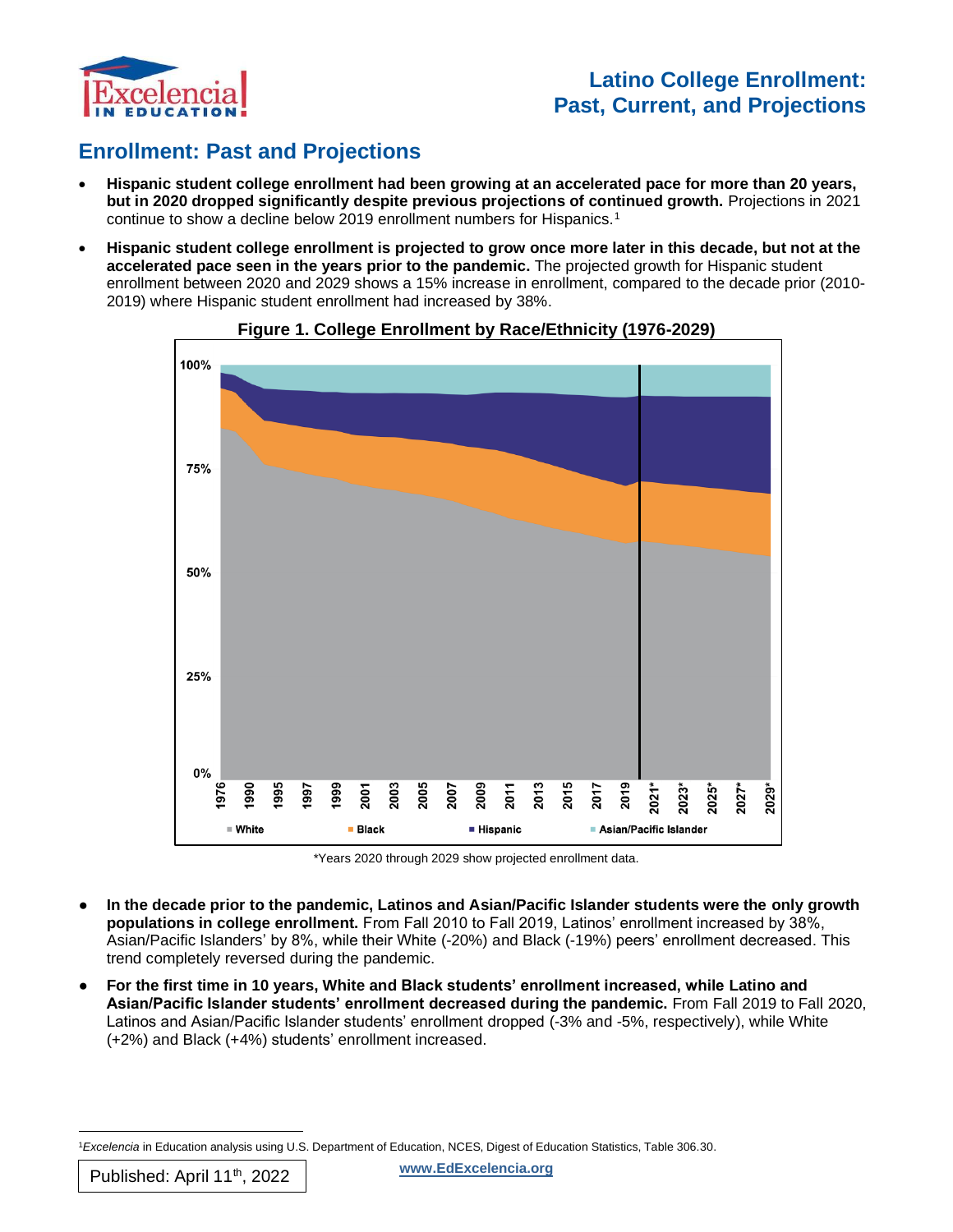

# **Enrollment: Past and Projections**

- **Hispanic student college enrollment had been growing at an accelerated pace for more than 20 years, but in 2020 dropped significantly despite previous projections of continued growth.** Projections in 2021 continue to show a decline below 2019 enrollment numbers for Hispanics.<sup>1</sup>
- **Hispanic student college enrollment is projected to grow once more later in this decade, but not at the accelerated pace seen in the years prior to the pandemic.** The projected growth for Hispanic student enrollment between 2020 and 2029 shows a 15% increase in enrollment, compared to the decade prior (2010- 2019) where Hispanic student enrollment had increased by 38%.





\*Years 2020 through 2029 show projected enrollment data.

- In the decade prior to the pandemic, Latinos and Asian/Pacific Islander students were the only growth **populations in college enrollment.** From Fall 2010 to Fall 2019, Latinos' enrollment increased by 38%, Asian/Pacific Islanders' by 8%, while their White (-20%) and Black (-19%) peers' enrollment decreased. This trend completely reversed during the pandemic.
- **For the first time in 10 years, White and Black students' enrollment increased, while Latino and Asian/Pacific Islander students' enrollment decreased during the pandemic.** From Fall 2019 to Fall 2020, Latinos and Asian/Pacific Islander students' enrollment dropped (-3% and -5%, respectively), while White (+2%) and Black (+4%) students' enrollment increased.

<sup>1</sup>*Excelencia* in Education analysis using U.S. Department of Education, NCES, Digest of Education Statistics, Table 306.30.

**www.EdExcelencia.org**

Published: April 11<sup>th</sup>, 2022